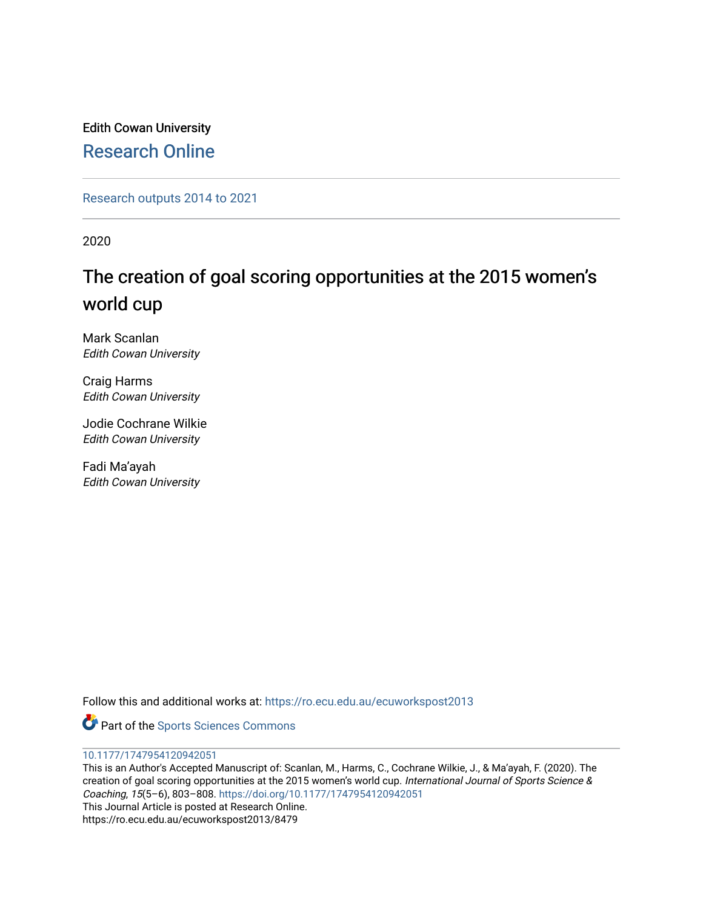Edith Cowan University [Research Online](https://ro.ecu.edu.au/) 

[Research outputs 2014 to 2021](https://ro.ecu.edu.au/ecuworkspost2013) 

2020

# The creation of goal scoring opportunities at the 2015 women's world cup

Mark Scanlan Edith Cowan University

Craig Harms Edith Cowan University

Jodie Cochrane Wilkie Edith Cowan University

Fadi Ma'ayah Edith Cowan University

Follow this and additional works at: [https://ro.ecu.edu.au/ecuworkspost2013](https://ro.ecu.edu.au/ecuworkspost2013?utm_source=ro.ecu.edu.au%2Fecuworkspost2013%2F8479&utm_medium=PDF&utm_campaign=PDFCoverPages) 

Part of the [Sports Sciences Commons](http://network.bepress.com/hgg/discipline/759?utm_source=ro.ecu.edu.au%2Fecuworkspost2013%2F8479&utm_medium=PDF&utm_campaign=PDFCoverPages) 

[10.1177/1747954120942051](http://dx.doi.org/10.1177/1747954120942051)

This is an Author's Accepted Manuscript of: Scanlan, M., Harms, C., Cochrane Wilkie, J., & Ma'ayah, F. (2020). The creation of goal scoring opportunities at the 2015 women's world cup. International Journal of Sports Science & Coaching, 15(5–6), 803–808. <https://doi.org/10.1177/1747954120942051> This Journal Article is posted at Research Online. https://ro.ecu.edu.au/ecuworkspost2013/8479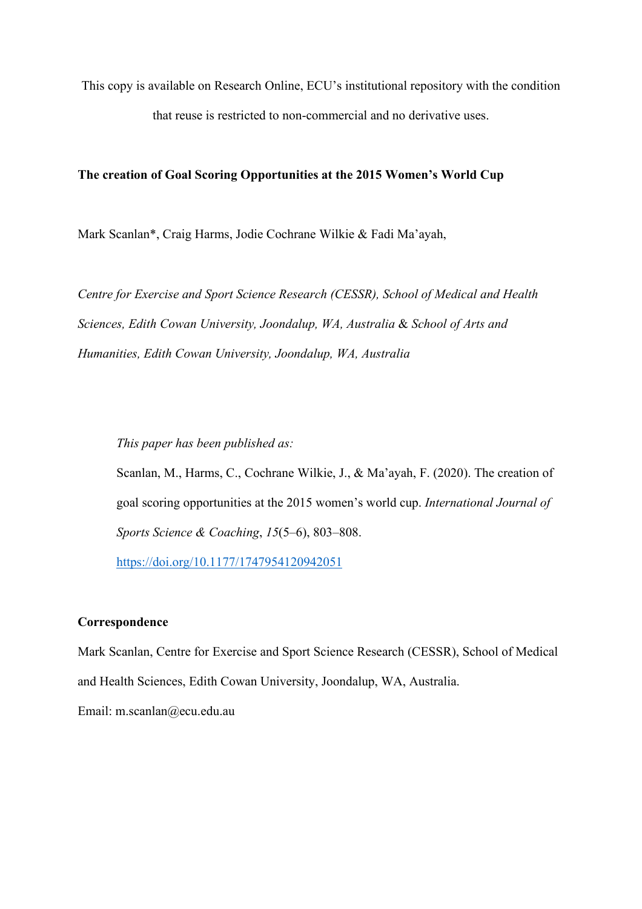This copy is available on Research Online, ECU's institutional repository with the condition that reuse is restricted to non-commercial and no derivative uses.

## **The creation of Goal Scoring Opportunities at the 2015 Women's World Cup**

Mark Scanlan\*, Craig Harms, Jodie Cochrane Wilkie & Fadi Ma'ayah,

*Centre for Exercise and Sport Science Research (CESSR), School of Medical and Health Sciences, Edith Cowan University, Joondalup, WA, Australia* & *School of Arts and Humanities, Edith Cowan University, Joondalup, WA, Australia*

*This paper has been published as:*

Scanlan, M., Harms, C., Cochrane Wilkie, J., & Ma'ayah, F. (2020). The creation of goal scoring opportunities at the 2015 women's world cup. *International Journal of Sports Science & Coaching*, *15*(5–6), 803–808.

<https://doi.org/10.1177/1747954120942051>

## **Correspondence**

Mark Scanlan, Centre for Exercise and Sport Science Research (CESSR), School of Medical and Health Sciences, Edith Cowan University, Joondalup, WA, Australia.

Email: m.scanlan@ecu.edu.au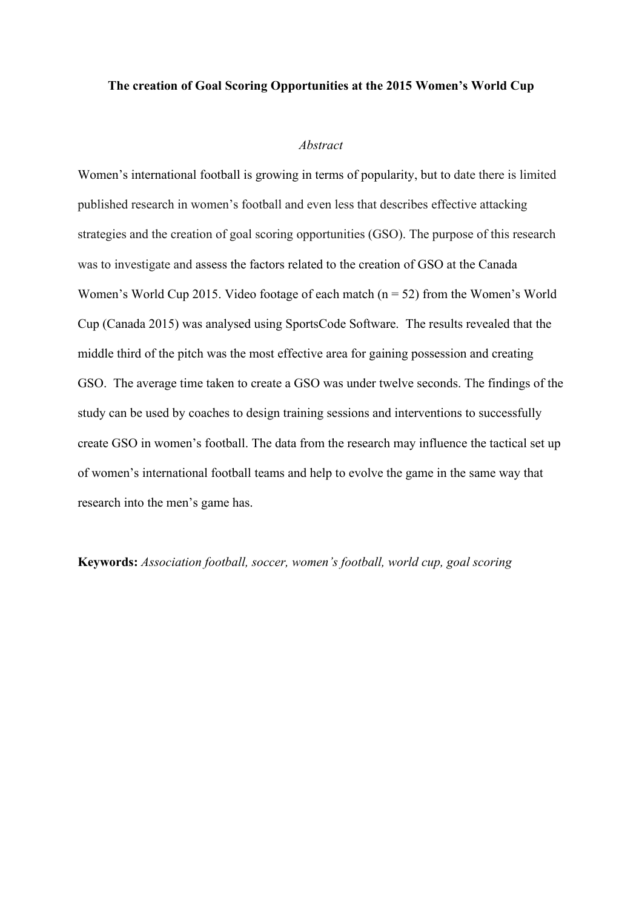#### **The creation of Goal Scoring Opportunities at the 2015 Women's World Cup**

#### *Abstract*

Women's international football is growing in terms of popularity, but to date there is limited published research in women's football and even less that describes effective attacking strategies and the creation of goal scoring opportunities (GSO). The purpose of this research was to investigate and assess the factors related to the creation of GSO at the Canada Women's World Cup 2015. Video footage of each match  $(n = 52)$  from the Women's World Cup (Canada 2015) was analysed using SportsCode Software. The results revealed that the middle third of the pitch was the most effective area for gaining possession and creating GSO. The average time taken to create a GSO was under twelve seconds. The findings of the study can be used by coaches to design training sessions and interventions to successfully create GSO in women's football. The data from the research may influence the tactical set up of women's international football teams and help to evolve the game in the same way that research into the men's game has.

**Keywords:** *Association football, soccer, women's football, world cup, goal scoring*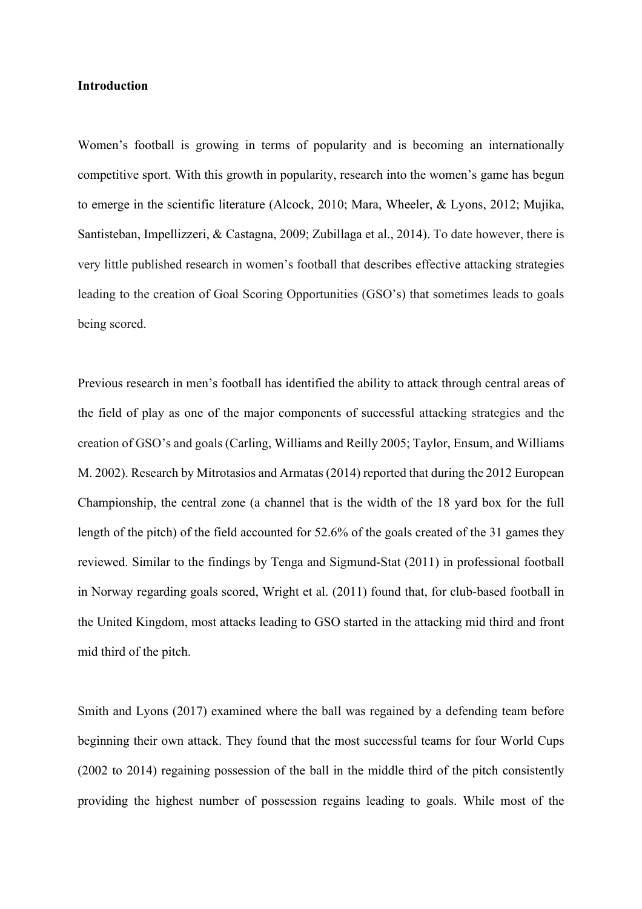## **Introduction**

Women's football is growing in terms of popularity and is becoming an internationally competitive sport. With this growth in popularity, research into the women's game has begun to emerge in the scientific literature [\(Alcock, 2010;](#page-17-0) [Mara, Wheeler, & Lyons, 2012;](#page-17-1) [Mujika,](#page-17-2)  [Santisteban, Impellizzeri, & Castagna, 2009;](#page-17-2) [Zubillaga et al., 2014\)](#page-17-3). To date however, there is very little published research in women's football that describes effective attacking strategies leading to the creation of Goal Scoring Opportunities (GSO's) that sometimes leads to goals being scored.

Previous research in men's football has identified the ability to attack through central areas of the field of play as one of the major components of successful attacking strategies and the creation of GSO's and goals (Carling, Williams and Reilly 2005; Taylor, Ensum, and Williams M. 2002). Research by [Mitrotasios and Armatas \(2014\)](#page-17-4) reported that during the 2012 European Championship, the central zone (a channel that is the width of the 18 yard box for the full length of the pitch) of the field accounted for 52.6% of the goals created of the 31 games they reviewed. Similar to the findings by Tenga and Sigmund-Stat (2011) in professional football in Norway regarding goals scored, Wright et al. (2011) found that, for club-based football in the United Kingdom, most attacks leading to GSO started in the attacking mid third and front mid third of the pitch.

Smith and Lyons (2017) examined where the ball was regained by a defending team before beginning their own attack. They found that the most successful teams for four World Cups (2002 to 2014) regaining possession of the ball in the middle third of the pitch consistently providing the highest number of possession regains leading to goals. While most of the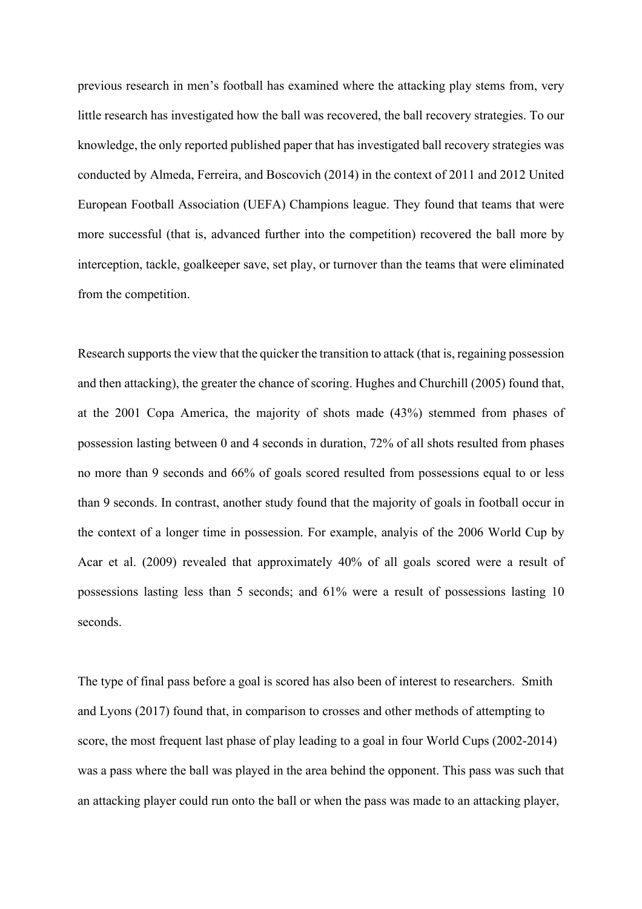previous research in men's football has examined where the attacking play stems from, very little research has investigated how the ball was recovered, the ball recovery strategies. To our knowledge, the only reported published paper that has investigated ball recovery strategies was conducted by Almeda, Ferreira, and Boscovich (2014) in the context of 2011 and 2012 United European Football Association (UEFA) Champions league. They found that teams that were more successful (that is, advanced further into the competition) recovered the ball more by interception, tackle, goalkeeper save, set play, or turnover than the teams that were eliminated from the competition.

Research supports the view that the quicker the transition to attack (that is, regaining possession and then attacking), the greater the chance of scoring. [Hughes and Churchill \(2005\)](#page-17-5) found that, at the 2001 Copa America, the majority of shots made (43%) stemmed from phases of possession lasting between 0 and 4 seconds in duration, 72% of all shots resulted from phases no more than 9 seconds and 66% of goals scored resulted from possessions equal to or less than 9 seconds. In contrast, another study found that the majority of goals in football occur in the context of a longer time in possession. For example, analyis of the 2006 World Cup by [Acar et al. \(2009\)](#page-17-6) revealed that approximately 40% of all goals scored were a result of possessions lasting less than 5 seconds; and 61% were a result of possessions lasting 10 seconds.

The type of final pass before a goal is scored has also been of interest to researchers. Smith and Lyons (2017) found that, in comparison to crosses and other methods of attempting to score, the most frequent last phase of play leading to a goal in four World Cups (2002-2014) was a pass where the ball was played in the area behind the opponent. This pass was such that an attacking player could run onto the ball or when the pass was made to an attacking player,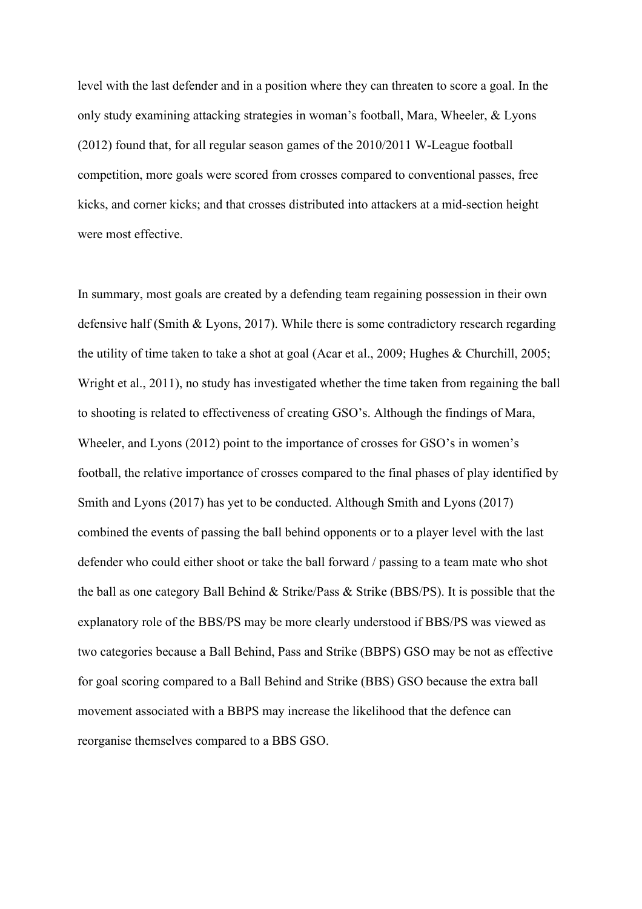level with the last defender and in a position where they can threaten to score a goal. In the only study examining attacking strategies in woman's football, Mara, Wheeler, & Lyons (2012) found that, for all regular season games of the 2010/2011 W-League football competition, more goals were scored from crosses compared to conventional passes, free kicks, and corner kicks; and that crosses distributed into attackers at a mid-section height were most effective.

In summary, most goals are created by a defending team regaining possession in their own defensive half (Smith & Lyons, 2017). While there is some contradictory research regarding the utility of time taken to take a shot at goal (Acar et al., 2009; Hughes & Churchill, 2005; Wright et al., 2011), no study has investigated whether the time taken from regaining the ball to shooting is related to effectiveness of creating GSO's. Although the findings of Mara, Wheeler, and Lyons (2012) point to the importance of crosses for GSO's in women's football, the relative importance of crosses compared to the final phases of play identified by Smith and Lyons (2017) has yet to be conducted. Although Smith and Lyons (2017) combined the events of passing the ball behind opponents or to a player level with the last defender who could either shoot or take the ball forward / passing to a team mate who shot the ball as one category Ball Behind & Strike/Pass & Strike (BBS/PS). It is possible that the explanatory role of the BBS/PS may be more clearly understood if BBS/PS was viewed as two categories because a Ball Behind, Pass and Strike (BBPS) GSO may be not as effective for goal scoring compared to a Ball Behind and Strike (BBS) GSO because the extra ball movement associated with a BBPS may increase the likelihood that the defence can reorganise themselves compared to a BBS GSO.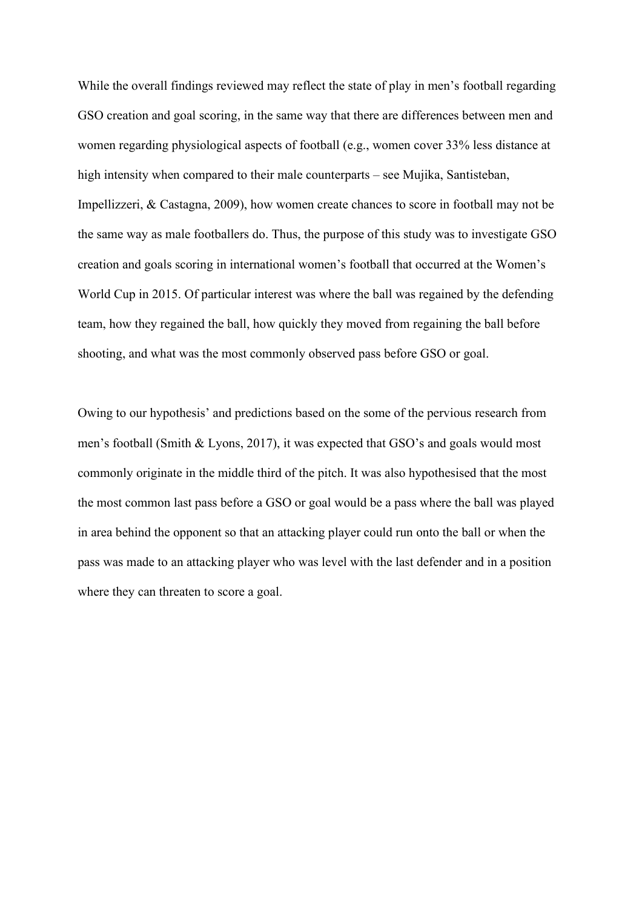While the overall findings reviewed may reflect the state of play in men's football regarding GSO creation and goal scoring, in the same way that there are differences between men and women regarding physiological aspects of football (e.g., women cover 33% less distance at high intensity when compared to their male counterparts – see Mujika, Santisteban, Impellizzeri, & Castagna, 2009), how women create chances to score in football may not be the same way as male footballers do. Thus, the purpose of this study was to investigate GSO creation and goals scoring in international women's football that occurred at the Women's World Cup in 2015. Of particular interest was where the ball was regained by the defending team, how they regained the ball, how quickly they moved from regaining the ball before shooting, and what was the most commonly observed pass before GSO or goal.

Owing to our hypothesis' and predictions based on the some of the pervious research from men's football (Smith & Lyons, 2017), it was expected that GSO's and goals would most commonly originate in the middle third of the pitch. It was also hypothesised that the most the most common last pass before a GSO or goal would be a pass where the ball was played in area behind the opponent so that an attacking player could run onto the ball or when the pass was made to an attacking player who was level with the last defender and in a position where they can threaten to score a goal.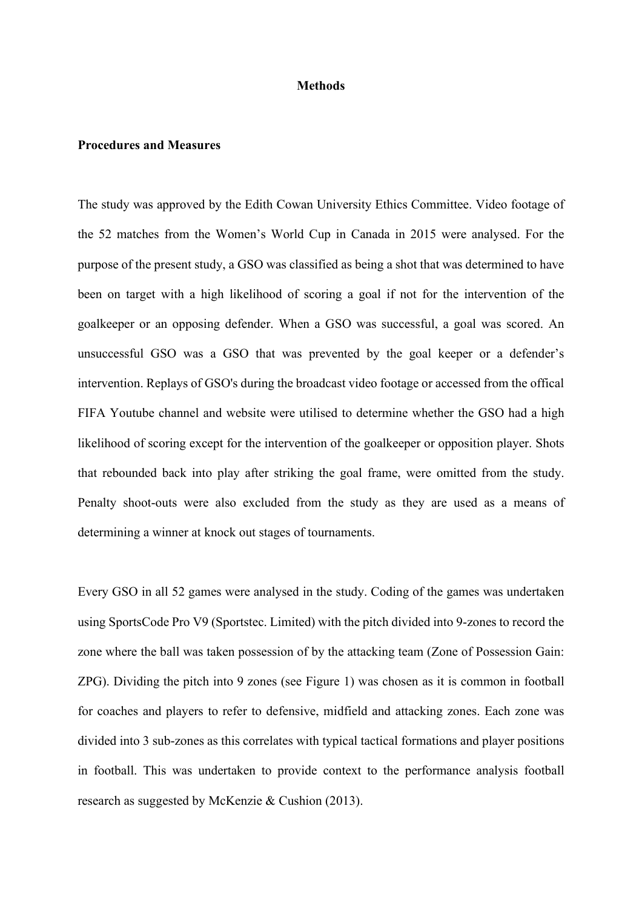## **Methods**

## **Procedures and Measures**

The study was approved by the Edith Cowan University Ethics Committee. Video footage of the 52 matches from the Women's World Cup in Canada in 2015 were analysed. For the purpose of the present study, a GSO was classified as being a shot that was determined to have been on target with a high likelihood of scoring a goal if not for the intervention of the goalkeeper or an opposing defender. When a GSO was successful, a goal was scored. An unsuccessful GSO was a GSO that was prevented by the goal keeper or a defender's intervention. Replays of GSO's during the broadcast video footage or accessed from the offical FIFA Youtube channel and website were utilised to determine whether the GSO had a high likelihood of scoring except for the intervention of the goalkeeper or opposition player. Shots that rebounded back into play after striking the goal frame, were omitted from the study. Penalty shoot-outs were also excluded from the study as they are used as a means of determining a winner at knock out stages of tournaments.

Every GSO in all 52 games were analysed in the study. Coding of the games was undertaken using SportsCode Pro V9 (Sportstec. Limited) with the pitch divided into 9-zones to record the zone where the ball was taken possession of by the attacking team (Zone of Possession Gain: ZPG). Dividing the pitch into 9 zones (see Figure 1) was chosen as it is common in football for coaches and players to refer to defensive, midfield and attacking zones. Each zone was divided into 3 sub-zones as this correlates with typical tactical formations and player positions in football. This was undertaken to provide context to the performance analysis football research as suggested by McKenzie & Cushion (2013).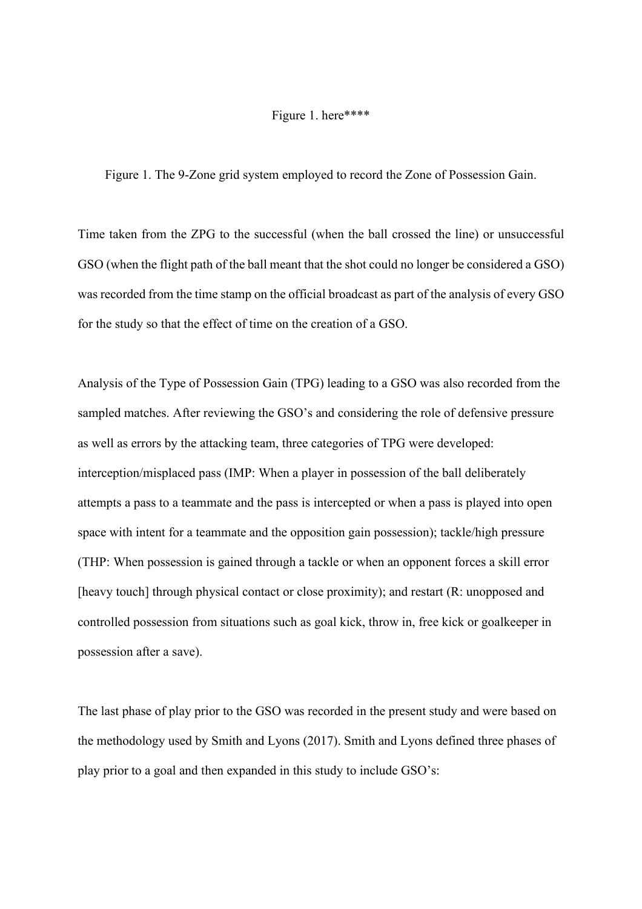#### Figure 1. here\*\*\*\*

Figure 1. The 9-Zone grid system employed to record the Zone of Possession Gain.

Time taken from the ZPG to the successful (when the ball crossed the line) or unsuccessful GSO (when the flight path of the ball meant that the shot could no longer be considered a GSO) was recorded from the time stamp on the official broadcast as part of the analysis of every GSO for the study so that the effect of time on the creation of a GSO.

Analysis of the Type of Possession Gain (TPG) leading to a GSO was also recorded from the sampled matches. After reviewing the GSO's and considering the role of defensive pressure as well as errors by the attacking team, three categories of TPG were developed: interception/misplaced pass (IMP: When a player in possession of the ball deliberately attempts a pass to a teammate and the pass is intercepted or when a pass is played into open space with intent for a teammate and the opposition gain possession); tackle/high pressure (THP: When possession is gained through a tackle or when an opponent forces a skill error [heavy touch] through physical contact or close proximity); and restart (R: unopposed and controlled possession from situations such as goal kick, throw in, free kick or goalkeeper in possession after a save).

The last phase of play prior to the GSO was recorded in the present study and were based on the methodology used by Smith and Lyons (2017). Smith and Lyons defined three phases of play prior to a goal and then expanded in this study to include GSO's: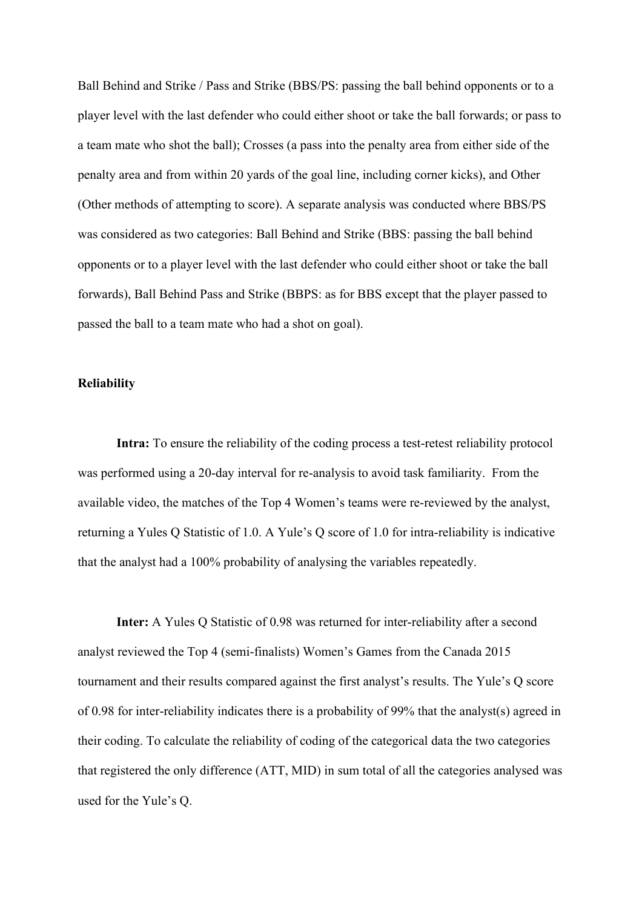Ball Behind and Strike / Pass and Strike (BBS/PS: passing the ball behind opponents or to a player level with the last defender who could either shoot or take the ball forwards; or pass to a team mate who shot the ball); Crosses (a pass into the penalty area from either side of the penalty area and from within 20 yards of the goal line, including corner kicks), and Other (Other methods of attempting to score). A separate analysis was conducted where BBS/PS was considered as two categories: Ball Behind and Strike (BBS: passing the ball behind opponents or to a player level with the last defender who could either shoot or take the ball forwards), Ball Behind Pass and Strike (BBPS: as for BBS except that the player passed to passed the ball to a team mate who had a shot on goal).

## **Reliability**

**Intra:** To ensure the reliability of the coding process a test-retest reliability protocol was performed using a 20-day interval for re-analysis to avoid task familiarity. From the available video, the matches of the Top 4 Women's teams were re-reviewed by the analyst, returning a Yules Q Statistic of 1.0. A Yule's Q score of 1.0 for intra-reliability is indicative that the analyst had a 100% probability of analysing the variables repeatedly.

**Inter:** A Yules Q Statistic of 0.98 was returned for inter-reliability after a second analyst reviewed the Top 4 (semi-finalists) Women's Games from the Canada 2015 tournament and their results compared against the first analyst's results. The Yule's Q score of 0.98 for inter-reliability indicates there is a probability of 99% that the analyst(s) agreed in their coding. To calculate the reliability of coding of the categorical data the two categories that registered the only difference (ATT, MID) in sum total of all the categories analysed was used for the Yule's Q.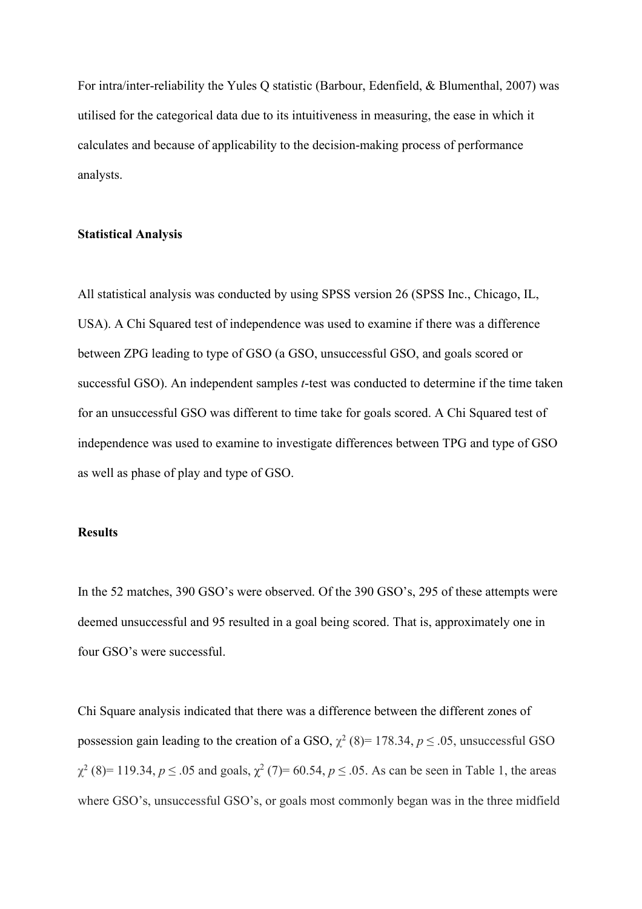For intra/inter-reliability the Yules Q statistic [\(Barbour, Edenfield, & Blumenthal, 2007\)](#page-17-7) was utilised for the categorical data due to its intuitiveness in measuring, the ease in which it calculates and because of applicability to the decision-making process of performance analysts.

## **Statistical Analysis**

All statistical analysis was conducted by using SPSS version 26 (SPSS Inc., Chicago, IL, USA). A Chi Squared test of independence was used to examine if there was a difference between ZPG leading to type of GSO (a GSO, unsuccessful GSO, and goals scored or successful GSO). An independent samples *t*-test was conducted to determine if the time taken for an unsuccessful GSO was different to time take for goals scored. A Chi Squared test of independence was used to examine to investigate differences between TPG and type of GSO as well as phase of play and type of GSO.

## **Results**

In the 52 matches, 390 GSO's were observed. Of the 390 GSO's, 295 of these attempts were deemed unsuccessful and 95 resulted in a goal being scored. That is, approximately one in four GSO's were successful.

Chi Square analysis indicated that there was a difference between the different zones of possession gain leading to the creation of a GSO,  $\chi^2$  (8)= 178.34,  $p \le 0.05$ , unsuccessful GSO  $\chi^2$  (8)= 119.34, *p*  $\leq$  .05 and goals,  $\chi^2$  (7)= 60.54, *p*  $\leq$  .05. As can be seen in Table 1, the areas where GSO's, unsuccessful GSO's, or goals most commonly began was in the three midfield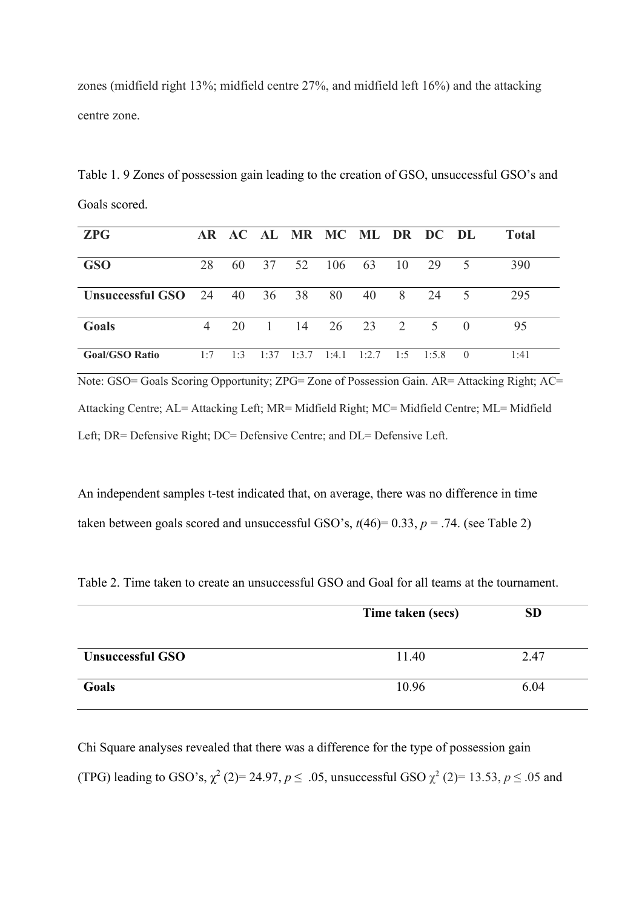zones (midfield right 13%; midfield centre 27%, and midfield left 16%) and the attacking centre zone.

Table 1. 9 Zones of possession gain leading to the creation of GSO, unsuccessful GSO's and Goals scored.

| <b>ZPG</b>                       |    |    |              | AR AC AL MR MC ML DR DC DL                                 |    |              |   |                |   | Total |
|----------------------------------|----|----|--------------|------------------------------------------------------------|----|--------------|---|----------------|---|-------|
| <b>GSO</b>                       | 28 | 60 | 37           |                                                            |    | 52 106 63 10 |   | 29             |   | 390   |
| Unsuccessful GSO $24$ 40 $36$ 38 |    |    |              |                                                            | 80 | 40           | 8 | 24             | 5 | 295   |
| Goals                            | 4  | 20 | $\mathbf{1}$ | 14                                                         |    | 26 23 2      |   | 5 <sup>5</sup> | 0 | 95    |
| <b>Goal/GSO Ratio</b>            |    |    |              | $1:7$ $1:3$ $1:37$ $1:3.7$ $1:4.1$ $1:2.7$ $1:5$ $1:5.8$ 0 |    |              |   |                |   | 1:41  |

Note: GSO= Goals Scoring Opportunity; ZPG= Zone of Possession Gain. AR= Attacking Right; AC= Attacking Centre; AL= Attacking Left; MR= Midfield Right; MC= Midfield Centre; ML= Midfield Left; DR= Defensive Right; DC= Defensive Centre; and DL= Defensive Left.

An independent samples t-test indicated that, on average, there was no difference in time taken between goals scored and unsuccessful GSO's,  $t(46)=0.33$ ,  $p=.74$ . (see Table 2)

Table 2. Time taken to create an unsuccessful GSO and Goal for all teams at the tournament.

|                         | Time taken (secs) | <b>SD</b> |
|-------------------------|-------------------|-----------|
| <b>Unsuccessful GSO</b> | 11.40             | 2.47      |
| Goals                   | 10.96             | 6.04      |

Chi Square analyses revealed that there was a difference for the type of possession gain (TPG) leading to GSO's,  $\chi^2$  (2)= 24.97,  $p \le .05$ , unsuccessful GSO  $\chi^2$  (2)= 13.53,  $p \le .05$  and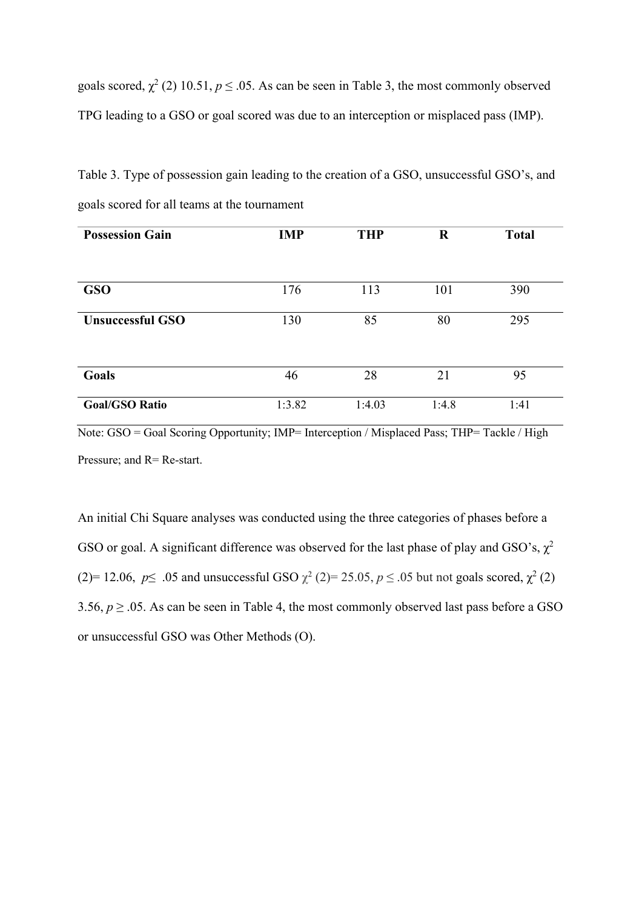goals scored,  $\chi^2$  (2) 10.51,  $p \le 0.05$ . As can be seen in Table 3, the most commonly observed TPG leading to a GSO or goal scored was due to an interception or misplaced pass (IMP).

Table 3. Type of possession gain leading to the creation of a GSO, unsuccessful GSO's, and goals scored for all teams at the tournament

| <b>Possession Gain</b>  | <b>IMP</b> | <b>THP</b> | R     | <b>Total</b> |
|-------------------------|------------|------------|-------|--------------|
| <b>GSO</b>              | 176        | 113        | 101   | 390          |
| <b>Unsuccessful GSO</b> | 130        | 85         | 80    | 295          |
| Goals                   | 46         | 28         | 21    | 95           |
| <b>Goal/GSO Ratio</b>   | 1:3.82     | 1:4.03     | 1:4.8 | 1:41         |

Note: GSO = Goal Scoring Opportunity; IMP= Interception / Misplaced Pass; THP= Tackle / High Pressure; and R= Re-start.

An initial Chi Square analyses was conducted using the three categories of phases before a GSO or goal. A significant difference was observed for the last phase of play and GSO's,  $\chi^2$ (2)= 12.06,  $p \le 0.05$  and unsuccessful GSO  $\chi^2$  (2)= 25.05,  $p \le 0.05$  but not goals scored,  $\chi^2$  (2) 3.56,  $p \ge 0.05$ . As can be seen in Table 4, the most commonly observed last pass before a GSO or unsuccessful GSO was Other Methods (O).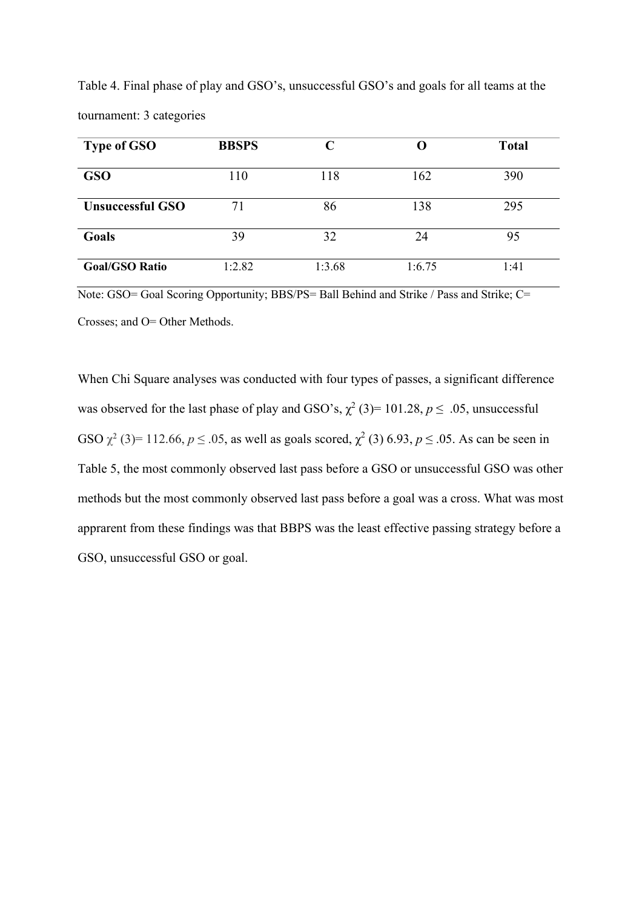Table 4. Final phase of play and GSO's, unsuccessful GSO's and goals for all teams at the tournament: 3 categories

| <b>Type of GSO</b>      | <b>BBSPS</b> | C      |        | <b>Total</b> |
|-------------------------|--------------|--------|--------|--------------|
| <b>GSO</b>              | 110          | 118    | 162    | 390          |
| <b>Unsuccessful GSO</b> |              | 86     | 138    | 295          |
| Goals                   | 39           | 32     | 24     | 95           |
| <b>Goal/GSO Ratio</b>   | 1:2.82       | 1:3.68 | 1:6.75 | 1:41         |

Note: GSO= Goal Scoring Opportunity; BBS/PS= Ball Behind and Strike / Pass and Strike; C= Crosses; and O= Other Methods.

When Chi Square analyses was conducted with four types of passes, a significant difference was observed for the last phase of play and GSO's,  $\chi^2$  (3)= 101.28,  $p \leq .05$ , unsuccessful GSO  $\chi^2$  (3)= 112.66,  $p \le 0.05$ , as well as goals scored,  $\chi^2$  (3) 6.93,  $p \le 0.05$ . As can be seen in Table 5, the most commonly observed last pass before a GSO or unsuccessful GSO was other methods but the most commonly observed last pass before a goal was a cross. What was most apprarent from these findings was that BBPS was the least effective passing strategy before a GSO, unsuccessful GSO or goal.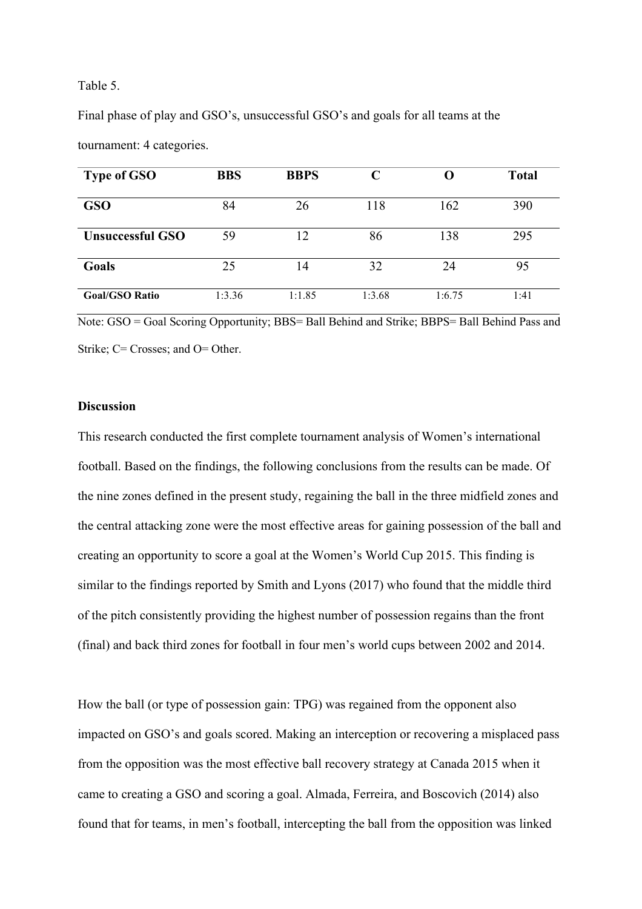#### Table 5.

Final phase of play and GSO's, unsuccessful GSO's and goals for all teams at the tournament: 4 categories.

| <b>Type of GSO</b>      | <b>BBS</b> | <b>BBPS</b> | C      |        | <b>Total</b> |
|-------------------------|------------|-------------|--------|--------|--------------|
| <b>GSO</b>              | 84         | 26          | 118    | 162    | 390          |
| <b>Unsuccessful GSO</b> | 59         | 12          | 86     | 138    | 295          |
| Goals                   | 25         | 14          | 32     | 24     | 95           |
| <b>Goal/GSO Ratio</b>   | 1:3.36     | 1:1.85      | 1:3.68 | 1:6.75 | 1:41         |

Note: GSO = Goal Scoring Opportunity; BBS= Ball Behind and Strike; BBPS= Ball Behind Pass and Strike; C= Crosses; and O= Other.

## **Discussion**

This research conducted the first complete tournament analysis of Women's international football. Based on the findings, the following conclusions from the results can be made. Of the nine zones defined in the present study, regaining the ball in the three midfield zones and the central attacking zone were the most effective areas for gaining possession of the ball and creating an opportunity to score a goal at the Women's World Cup 2015. This finding is similar to the findings reported by Smith and Lyons (2017) who found that the middle third of the pitch consistently providing the highest number of possession regains than the front (final) and back third zones for football in four men's world cups between 2002 and 2014.

How the ball (or type of possession gain: TPG) was regained from the opponent also impacted on GSO's and goals scored. Making an interception or recovering a misplaced pass from the opposition was the most effective ball recovery strategy at Canada 2015 when it came to creating a GSO and scoring a goal. Almada, Ferreira, and Boscovich (2014) also found that for teams, in men's football, intercepting the ball from the opposition was linked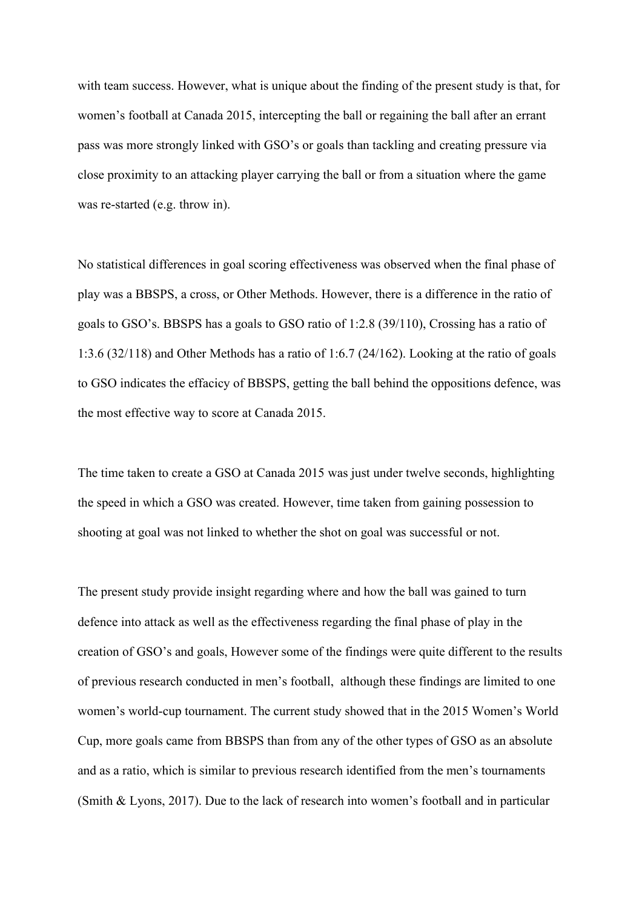with team success. However, what is unique about the finding of the present study is that, for women's football at Canada 2015, intercepting the ball or regaining the ball after an errant pass was more strongly linked with GSO's or goals than tackling and creating pressure via close proximity to an attacking player carrying the ball or from a situation where the game was re-started (e.g. throw in).

No statistical differences in goal scoring effectiveness was observed when the final phase of play was a BBSPS, a cross, or Other Methods. However, there is a difference in the ratio of goals to GSO's. BBSPS has a goals to GSO ratio of 1:2.8 (39/110), Crossing has a ratio of 1:3.6 (32/118) and Other Methods has a ratio of 1:6.7 (24/162). Looking at the ratio of goals to GSO indicates the effacicy of BBSPS, getting the ball behind the oppositions defence, was the most effective way to score at Canada 2015.

The time taken to create a GSO at Canada 2015 was just under twelve seconds, highlighting the speed in which a GSO was created. However, time taken from gaining possession to shooting at goal was not linked to whether the shot on goal was successful or not.

The present study provide insight regarding where and how the ball was gained to turn defence into attack as well as the effectiveness regarding the final phase of play in the creation of GSO's and goals, However some of the findings were quite different to the results of previous research conducted in men's football, although these findings are limited to one women's world-cup tournament. The current study showed that in the 2015 Women's World Cup, more goals came from BBSPS than from any of the other types of GSO as an absolute and as a ratio, which is similar to previous research identified from the men's tournaments [\(Smith & Lyons, 2017\)](#page-17-8). Due to the lack of research into women's football and in particular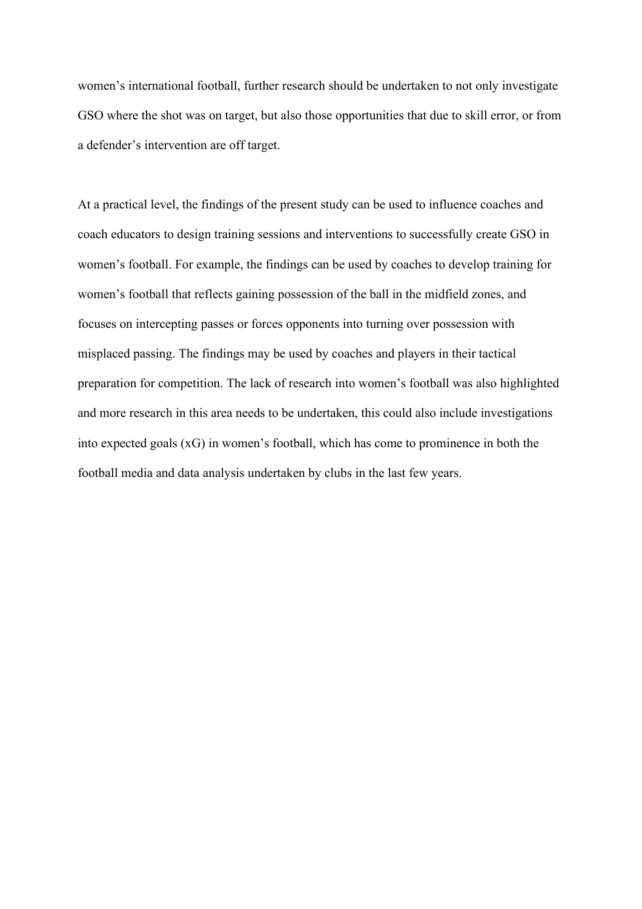women's international football, further research should be undertaken to not only investigate GSO where the shot was on target, but also those opportunities that due to skill error, or from a defender's intervention are off target.

At a practical level, the findings of the present study can be used to influence coaches and coach educators to design training sessions and interventions to successfully create GSO in women's football. For example, the findings can be used by coaches to develop training for women's football that reflects gaining possession of the ball in the midfield zones, and focuses on intercepting passes or forces opponents into turning over possession with misplaced passing. The findings may be used by coaches and players in their tactical preparation for competition. The lack of research into women's football was also highlighted and more research in this area needs to be undertaken, this could also include investigations into expected goals (xG) in women's football, which has come to prominence in both the football media and data analysis undertaken by clubs in the last few years.